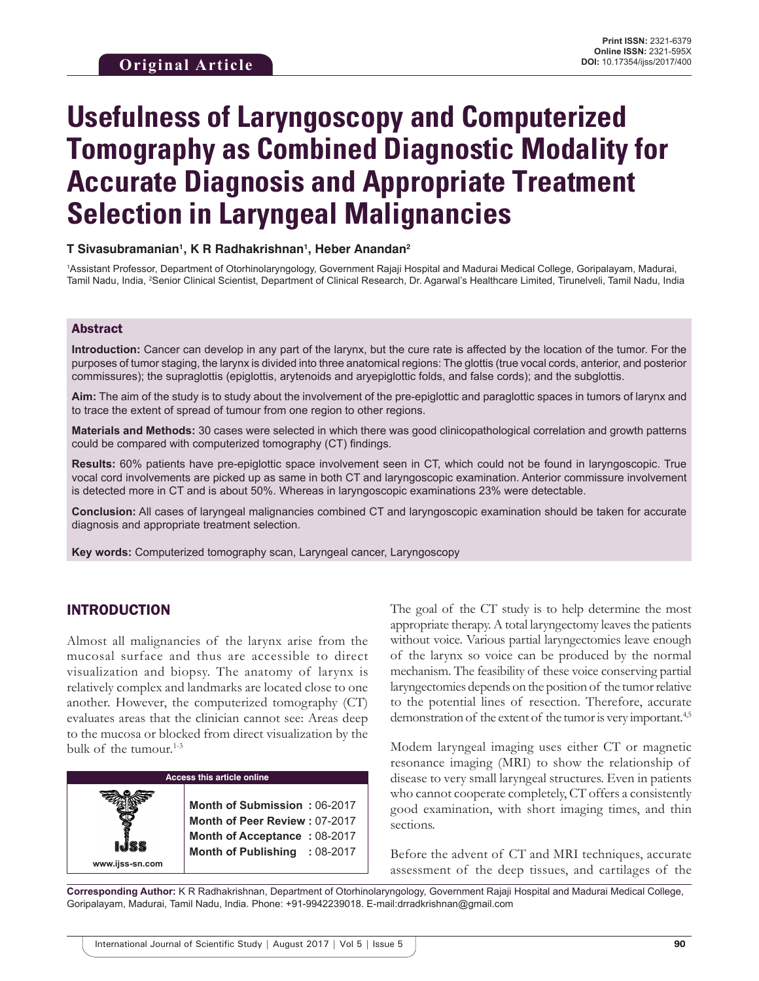# **Usefulness of Laryngoscopy and Computerized Tomography as Combined Diagnostic Modality for Accurate Diagnosis and Appropriate Treatment Selection in Laryngeal Malignancies**

#### **T Sivasubramanian1 , K R Radhakrishnan1 , Heber Anandan2**

1 Assistant Professor, Department of Otorhinolaryngology, Government Rajaji Hospital and Madurai Medical College, Goripalayam, Madurai, Tamil Nadu, India, 2 Senior Clinical Scientist, Department of Clinical Research, Dr. Agarwal's Healthcare Limited, Tirunelveli, Tamil Nadu, India

#### Abstract

**Introduction:** Cancer can develop in any part of the larynx, but the cure rate is affected by the location of the tumor. For the purposes of tumor staging, the larynx is divided into three anatomical regions: The glottis (true vocal cords, anterior, and posterior commissures); the supraglottis (epiglottis, arytenoids and aryepiglottic folds, and false cords); and the subglottis.

Aim: The aim of the study is to study about the involvement of the pre-epiglottic and paraglottic spaces in tumors of larynx and to trace the extent of spread of tumour from one region to other regions.

**Materials and Methods:** 30 cases were selected in which there was good clinicopathological correlation and growth patterns could be compared with computerized tomography (CT) findings.

**Results:** 60% patients have pre-epiglottic space involvement seen in CT, which could not be found in laryngoscopic. True vocal cord involvements are picked up as same in both CT and laryngoscopic examination. Anterior commissure involvement is detected more in CT and is about 50%. Whereas in laryngoscopic examinations 23% were detectable.

**Conclusion:** All cases of laryngeal malignancies combined CT and laryngoscopic examination should be taken for accurate diagnosis and appropriate treatment selection.

**Key words:** Computerized tomography scan, Laryngeal cancer, Laryngoscopy

### INTRODUCTION

Almost all malignancies of the larynx arise from the mucosal surface and thus are accessible to direct visualization and biopsy. The anatomy of larynx is relatively complex and landmarks are located close to one another. However, the computerized tomography (CT) evaluates areas that the clinician cannot see: Areas deep to the mucosa or blocked from direct visualization by the bulk of the tumour. $1-3$ 

| <b>Access this article online</b> |                                                                                                                                |  |
|-----------------------------------|--------------------------------------------------------------------------------------------------------------------------------|--|
| www.ijss-sn.com                   | Month of Submission: 06-2017<br>Month of Peer Review: 07-2017<br>Month of Acceptance: 08-2017<br>Month of Publishing : 08-2017 |  |

The goal of the CT study is to help determine the most appropriate therapy. A total laryngectomy leaves the patients without voice. Various partial laryngectomies leave enough of the larynx so voice can be produced by the normal mechanism. The feasibility of these voice conserving partial laryngectomies depends on the position of the tumor relative to the potential lines of resection. Therefore, accurate demonstration of the extent of the tumor is very important.<sup>4,5</sup>

Modem laryngeal imaging uses either CT or magnetic resonance imaging (MRI) to show the relationship of disease to very small laryngeal structures. Even in patients who cannot cooperate completely, CT offers a consistently good examination, with short imaging times, and thin sections.

Before the advent of CT and MRI techniques, accurate assessment of the deep tissues, and cartilages of the

**Corresponding Author:** K R Radhakrishnan, Department of Otorhinolaryngology, Government Rajaji Hospital and Madurai Medical College, Goripalayam, Madurai, Tamil Nadu, India. Phone: +91-9942239018. E-mail:drradkrishnan@gmail.com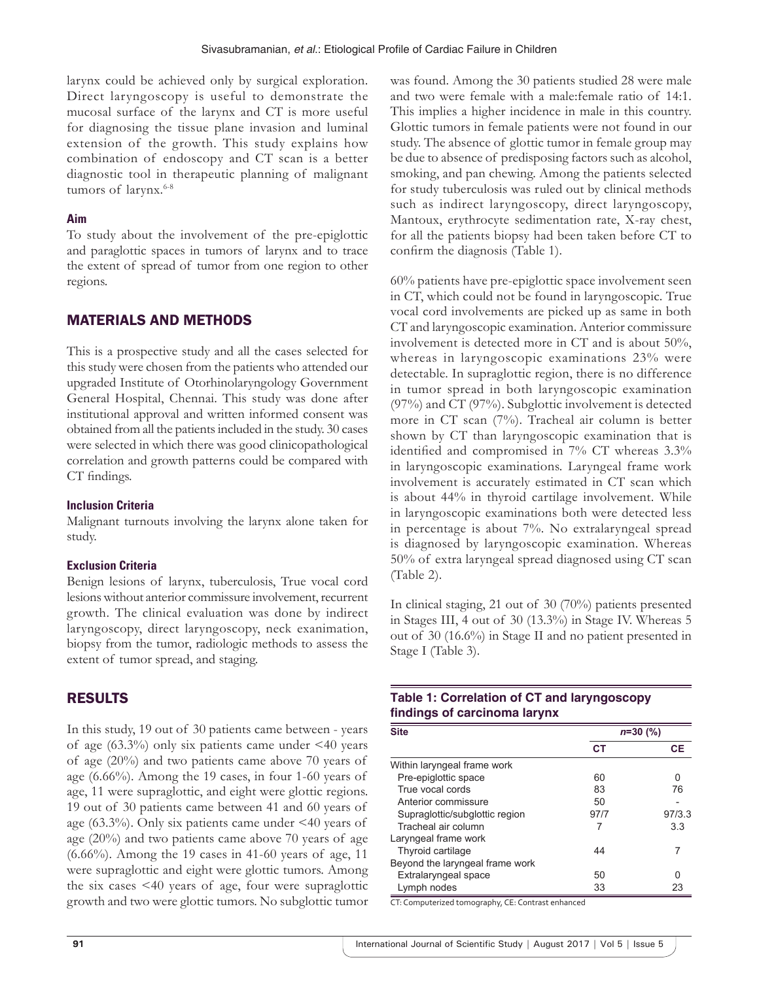larynx could be achieved only by surgical exploration. Direct laryngoscopy is useful to demonstrate the mucosal surface of the larynx and CT is more useful for diagnosing the tissue plane invasion and luminal extension of the growth. This study explains how combination of endoscopy and CT scan is a better diagnostic tool in therapeutic planning of malignant tumors of larynx.<sup>6-8</sup>

### **Aim**

To study about the involvement of the pre-epiglottic and paraglottic spaces in tumors of larynx and to trace the extent of spread of tumor from one region to other regions.

# MATERIALS AND METHODS

This is a prospective study and all the cases selected for this study were chosen from the patients who attended our upgraded Institute of Otorhinolaryngology Government General Hospital, Chennai. This study was done after institutional approval and written informed consent was obtained from all the patients included in the study. 30 cases were selected in which there was good clinicopathological correlation and growth patterns could be compared with CT findings.

## **Inclusion Criteria**

Malignant turnouts involving the larynx alone taken for study.

## **Exclusion Criteria**

Benign lesions of larynx, tuberculosis, True vocal cord lesions without anterior commissure involvement, recurrent growth. The clinical evaluation was done by indirect laryngoscopy, direct laryngoscopy, neck exanimation, biopsy from the tumor, radiologic methods to assess the extent of tumor spread, and staging.

# RESULTS

In this study, 19 out of 30 patients came between - years of age  $(63.3\%)$  only six patients came under  $\leq 40$  years of age (20%) and two patients came above 70 years of age (6.66%). Among the 19 cases, in four 1-60 years of age, 11 were supraglottic, and eight were glottic regions. 19 out of 30 patients came between 41 and 60 years of age (63.3%). Only six patients came under <40 years of age (20%) and two patients came above 70 years of age (6.66%). Among the 19 cases in 41-60 years of age, 11 were supraglottic and eight were glottic tumors. Among the six cases <40 years of age, four were supraglottic growth and two were glottic tumors. No subglottic tumor was found. Among the 30 patients studied 28 were male and two were female with a male:female ratio of 14:1. This implies a higher incidence in male in this country. Glottic tumors in female patients were not found in our study. The absence of glottic tumor in female group may be due to absence of predisposing factors such as alcohol, smoking, and pan chewing. Among the patients selected for study tuberculosis was ruled out by clinical methods such as indirect laryngoscopy, direct laryngoscopy, Mantoux, erythrocyte sedimentation rate, X-ray chest, for all the patients biopsy had been taken before CT to confirm the diagnosis (Table 1).

60% patients have pre-epiglottic space involvement seen in CT, which could not be found in laryngoscopic. True vocal cord involvements are picked up as same in both CT and laryngoscopic examination. Anterior commissure involvement is detected more in CT and is about 50%, whereas in laryngoscopic examinations 23% were detectable. In supraglottic region, there is no difference in tumor spread in both laryngoscopic examination (97%) and CT (97%). Subglottic involvement is detected more in CT scan (7%). Tracheal air column is better shown by CT than laryngoscopic examination that is identified and compromised in 7% CT whereas 3.3% in laryngoscopic examinations. Laryngeal frame work involvement is accurately estimated in CT scan which is about 44% in thyroid cartilage involvement. While in laryngoscopic examinations both were detected less in percentage is about 7%. No extralaryngeal spread is diagnosed by laryngoscopic examination. Whereas 50% of extra laryngeal spread diagnosed using CT scan (Table 2).

In clinical staging, 21 out of 30 (70%) patients presented in Stages III, 4 out of 30 (13.3%) in Stage IV. Whereas 5 out of 30 (16.6%) in Stage II and no patient presented in Stage I (Table 3).

## **Table 1: Correlation of CT and laryngoscopy findings of carcinoma larynx**

| <b>Site</b>                     | $n=30$ (%) |        |
|---------------------------------|------------|--------|
|                                 | СT         | СE     |
| Within laryngeal frame work     |            |        |
| Pre-epiglottic space            | 60         | U      |
| True vocal cords                | 83         | 76     |
| Anterior commissure             | 50         |        |
| Supraglottic/subglottic region  | 97/7       | 97/3.3 |
| Tracheal air column             |            | 3.3    |
| Laryngeal frame work            |            |        |
| Thyroid cartilage               | 44         |        |
| Beyond the laryngeal frame work |            |        |
| Extralaryngeal space            | 50         |        |
| Lymph nodes                     | 33         | 23     |

CT: Computerized tomography, CE: Contrast enhanced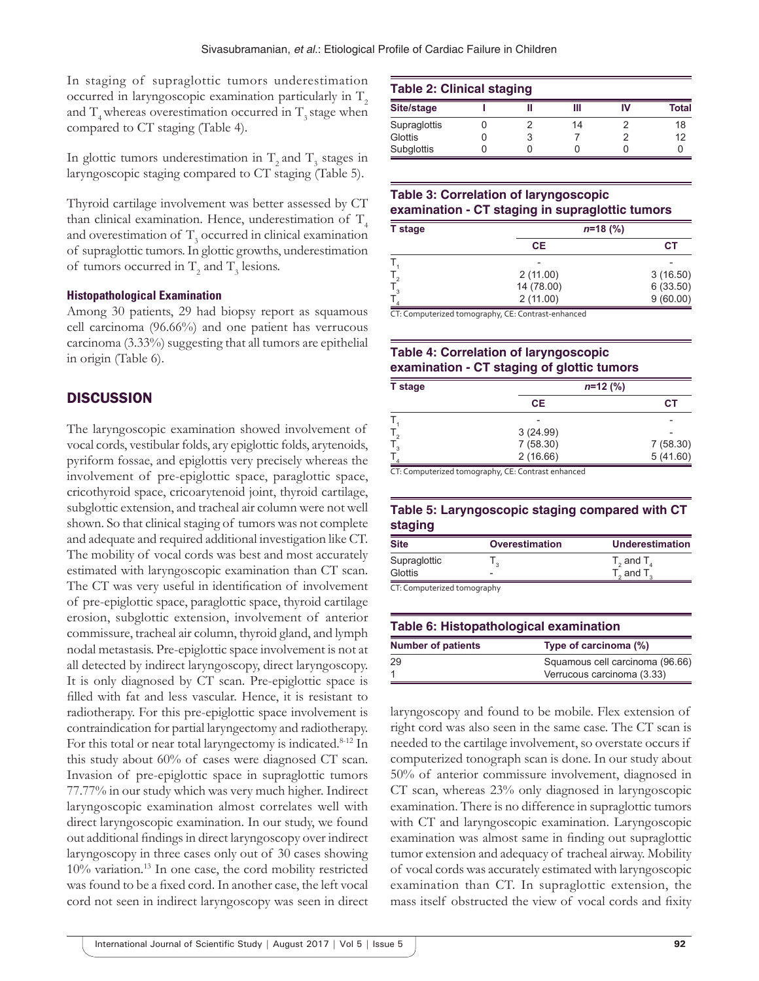In staging of supraglottic tumors underestimation occurred in laryngoscopic examination particularly in  $T<sub>2</sub>$ and  $T_{4}$  whereas overestimation occurred in  $T_{3}$  stage when compared to CT staging (Table 4).

In glottic tumors underestimation in  $T_2$  and  $T_3$  stages in laryngoscopic staging compared to CT staging (Table 5).

Thyroid cartilage involvement was better assessed by CT than clinical examination. Hence, underestimation of  $T<sub>4</sub>$ and overestimation of  $T_3$  occurred in clinical examination of supraglottic tumors. In glottic growths, underestimation of tumors occurred in  $T_2$  and  $T_3$  lesions.

#### **Histopathological Examination**

Among 30 patients, 29 had biopsy report as squamous cell carcinoma (96.66%) and one patient has verrucous carcinoma (3.33%) suggesting that all tumors are epithelial in origin (Table 6).

## **DISCUSSION**

The laryngoscopic examination showed involvement of vocal cords, vestibular folds, ary epiglottic folds, arytenoids, pyriform fossae, and epiglottis very precisely whereas the involvement of pre-epiglottic space, paraglottic space, cricothyroid space, cricoarytenoid joint, thyroid cartilage, subglottic extension, and tracheal air column were not well shown. So that clinical staging of tumors was not complete and adequate and required additional investigation like CT. The mobility of vocal cords was best and most accurately estimated with laryngoscopic examination than CT scan. The CT was very useful in identification of involvement of pre-epiglottic space, paraglottic space, thyroid cartilage erosion, subglottic extension, involvement of anterior commissure, tracheal air column, thyroid gland, and lymph nodal metastasis. Pre-epiglottic space involvement is not at all detected by indirect laryngoscopy, direct laryngoscopy. It is only diagnosed by CT scan. Pre-epiglottic space is filled with fat and less vascular. Hence, it is resistant to radiotherapy. For this pre-epiglottic space involvement is contraindication for partial laryngectomy and radiotherapy. For this total or near total laryngectomy is indicated.<sup>8-12</sup> In this study about 60% of cases were diagnosed CT scan. Invasion of pre-epiglottic space in supraglottic tumors 77.77% in our study which was very much higher. Indirect laryngoscopic examination almost correlates well with direct laryngoscopic examination. In our study, we found out additional findings in direct laryngoscopy over indirect laryngoscopy in three cases only out of 30 cases showing 10% variation.13 In one case, the cord mobility restricted was found to be a fixed cord. In another case, the left vocal cord not seen in indirect laryngoscopy was seen in direct

| <b>Table 2: Clinical staging</b> |  |  |    |    |       |
|----------------------------------|--|--|----|----|-------|
| Site/stage                       |  |  | Ш  | IV | Total |
| Supraglottis                     |  |  | 14 |    | 18    |
| Glottis                          |  |  |    |    | 12    |
| Subglottis                       |  |  |    |    |       |

## **Table 3: Correlation of laryngoscopic examination ‑ CT staging in supraglottic tumors**

| <b>T</b> stage | $n=18$ (%) |           |
|----------------|------------|-----------|
|                | <b>CE</b>  | <b>CT</b> |
|                |            |           |
|                | 2(11.00)   | 3(16.50)  |
|                | 14 (78.00) | 6(33.50)  |
|                | 2(11.00)   | 9(60.00)  |

CT: Computerized tomography, CE: Contrast-enhanced

# **Table 4: Correlation of laryngoscopic examination ‑ CT staging of glottic tumors**

| T stage |           | $n=12$ (%) |
|---------|-----------|------------|
|         | <b>CE</b> | СT         |
|         |           |            |
|         | 3(24.99)  |            |
|         | 7(58.30)  | 7(58.30)   |
|         | 2(16.66)  | 5(41.60)   |

CT: Computerized tomography, CE: Contrast enhanced

#### **Table 5: Laryngoscopic staging compared with CT staging**

| Site                                   | Overestimation | <b>Underestimation</b>      |
|----------------------------------------|----------------|-----------------------------|
| Supraglottic                           |                | $T_{2}$ and $T_{4}$         |
| Glottis<br>CT. Computerized tomography |                | $T_{\circ}$ and $T_{\circ}$ |

omputerized tomography

| Table 6: Histopathological examination             |                                 |  |
|----------------------------------------------------|---------------------------------|--|
| <b>Number of patients</b><br>Type of carcinoma (%) |                                 |  |
| 29                                                 | Squamous cell carcinoma (96.66) |  |
|                                                    | Verrucous carcinoma (3.33)      |  |

laryngoscopy and found to be mobile. Flex extension of right cord was also seen in the same case. The CT scan is needed to the cartilage involvement, so overstate occurs if computerized tonograph scan is done. In our study about 50% of anterior commissure involvement, diagnosed in CT scan, whereas 23% only diagnosed in laryngoscopic examination. There is no difference in supraglottic tumors with CT and laryngoscopic examination. Laryngoscopic examination was almost same in finding out supraglottic tumor extension and adequacy of tracheal airway. Mobility of vocal cords was accurately estimated with laryngoscopic examination than CT. In supraglottic extension, the mass itself obstructed the view of vocal cords and fixity